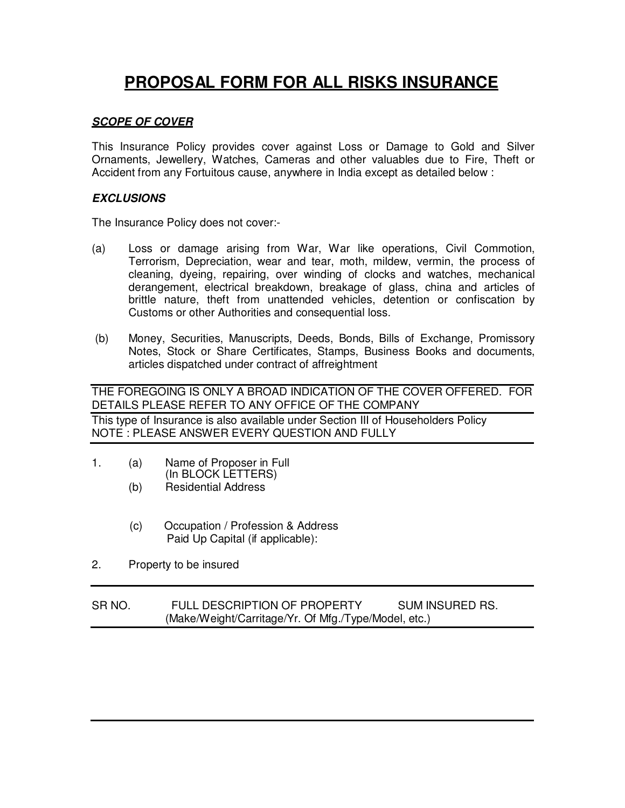# **PROPOSAL FORM FOR ALL RISKS INSURANCE**

## **SCOPE OF COVER**

This Insurance Policy provides cover against Loss or Damage to Gold and Silver Ornaments, Jewellery, Watches, Cameras and other valuables due to Fire, Theft or Accident from any Fortuitous cause, anywhere in India except as detailed below :

### **EXCLUSIONS**

The Insurance Policy does not cover:-

- (a) Loss or damage arising from War, War like operations, Civil Commotion, Terrorism, Depreciation, wear and tear, moth, mildew, vermin, the process of cleaning, dyeing, repairing, over winding of clocks and watches, mechanical derangement, electrical breakdown, breakage of glass, china and articles of brittle nature, theft from unattended vehicles, detention or confiscation by Customs or other Authorities and consequential loss.
- (b) Money, Securities, Manuscripts, Deeds, Bonds, Bills of Exchange, Promissory Notes, Stock or Share Certificates, Stamps, Business Books and documents, articles dispatched under contract of affreightment

THE FOREGOING IS ONLY A BROAD INDICATION OF THE COVER OFFERED. FOR DETAILS PLEASE REFER TO ANY OFFICE OF THE COMPANY

This type of Insurance is also available under Section III of Householders Policy NOTE : PLEASE ANSWER EVERY QUESTION AND FULLY

- 1. (a) Name of Proposer in Full (In BLOCK LETTERS)
	- (b) Residential Address
	- (c) Occupation / Profession & Address Paid Up Capital (if applicable):
- 2. Property to be insured

SR NO. FULL DESCRIPTION OF PROPERTY SUM INSURED RS. (Make/Weight/Carritage/Yr. Of Mfg./Type/Model, etc.)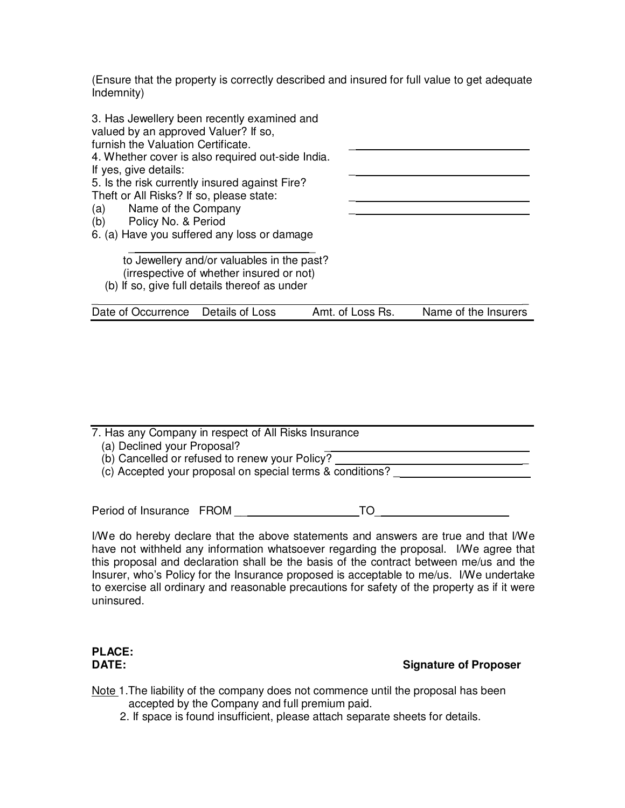(Ensure that the property is correctly described and insured for full value to get adequate Indemnity)

| 3. Has Jewellery been recently examined and<br>valued by an approved Valuer? If so,<br>furnish the Valuation Certificate.<br>4. Whether cover is also required out-side India.<br>If yes, give details:<br>5. Is the risk currently insured against Fire?<br>Theft or All Risks? If so, please state:<br>Name of the Company<br>(a)<br>(b) Policy No. & Period<br>6. (a) Have you suffered any loss or damage<br>to Jewellery and/or valuables in the past? |                  |                      |
|-------------------------------------------------------------------------------------------------------------------------------------------------------------------------------------------------------------------------------------------------------------------------------------------------------------------------------------------------------------------------------------------------------------------------------------------------------------|------------------|----------------------|
| (irrespective of whether insured or not)                                                                                                                                                                                                                                                                                                                                                                                                                    |                  |                      |
| (b) If so, give full details thereof as under                                                                                                                                                                                                                                                                                                                                                                                                               |                  |                      |
| Date of Occurrence Details of Loss                                                                                                                                                                                                                                                                                                                                                                                                                          | Amt. of Loss Rs. | Name of the Insurers |
|                                                                                                                                                                                                                                                                                                                                                                                                                                                             |                  |                      |

| 7. Has any Company in respect of All Risks Insurance      |
|-----------------------------------------------------------|
| (a) Declined your Proposal?                               |
| (b) Cancelled or refused to renew your Policy?            |
| (c) Accepted your proposal on special terms & conditions? |
|                                                           |

Period of Insurance FROM \_\_ TO\_

I/We do hereby declare that the above statements and answers are true and that I/We have not withheld any information whatsoever regarding the proposal. I/We agree that this proposal and declaration shall be the basis of the contract between me/us and the Insurer, who's Policy for the Insurance proposed is acceptable to me/us. I/We undertake to exercise all ordinary and reasonable precautions for safety of the property as if it were uninsured.

# **PLACE:**

# **Signature of Proposer**

- Note 1.The liability of the company does not commence until the proposal has been accepted by the Company and full premium paid.
	- 2. If space is found insufficient, please attach separate sheets for details.